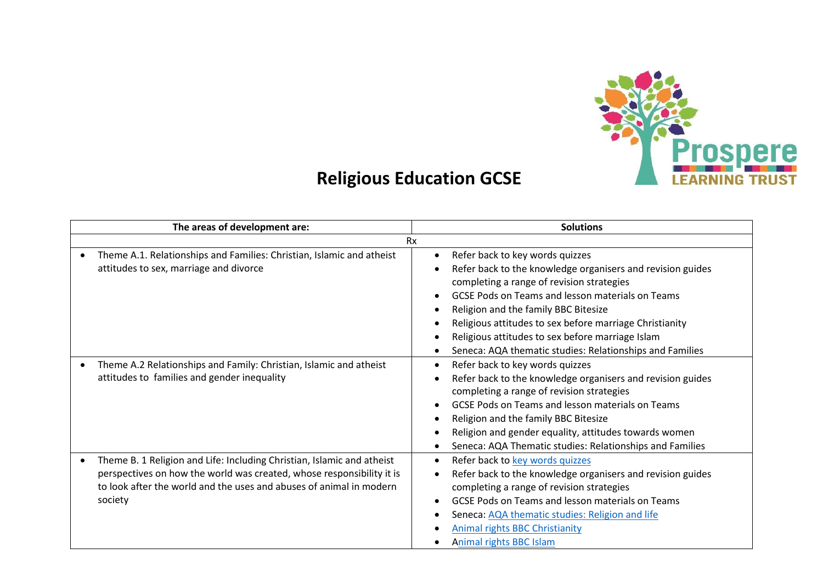

## **Religious Education GCSE**

|   | The areas of development are:                                                                                                                                                                                                     | <b>Solutions</b>                                                                                                                                                                                                                                                                                                                                                                                                                      |  |  |  |  |
|---|-----------------------------------------------------------------------------------------------------------------------------------------------------------------------------------------------------------------------------------|---------------------------------------------------------------------------------------------------------------------------------------------------------------------------------------------------------------------------------------------------------------------------------------------------------------------------------------------------------------------------------------------------------------------------------------|--|--|--|--|
|   | <b>Rx</b>                                                                                                                                                                                                                         |                                                                                                                                                                                                                                                                                                                                                                                                                                       |  |  |  |  |
|   | Theme A.1. Relationships and Families: Christian, Islamic and atheist<br>attitudes to sex, marriage and divorce                                                                                                                   | Refer back to key words quizzes<br>$\bullet$<br>Refer back to the knowledge organisers and revision guides<br>completing a range of revision strategies<br><b>GCSE Pods on Teams and lesson materials on Teams</b><br>Religion and the family BBC Bitesize<br>Religious attitudes to sex before marriage Christianity<br>Religious attitudes to sex before marriage Islam<br>Seneca: AQA thematic studies: Relationships and Families |  |  |  |  |
| ٠ | Theme A.2 Relationships and Family: Christian, Islamic and atheist<br>attitudes to families and gender inequality                                                                                                                 | Refer back to key words quizzes<br>Refer back to the knowledge organisers and revision guides<br>completing a range of revision strategies<br><b>GCSE Pods on Teams and lesson materials on Teams</b><br>Religion and the family BBC Bitesize<br>Religion and gender equality, attitudes towards women<br>Seneca: AQA Thematic studies: Relationships and Families                                                                    |  |  |  |  |
|   | Theme B. 1 Religion and Life: Including Christian, Islamic and atheist<br>perspectives on how the world was created, whose responsibility it is<br>to look after the world and the uses and abuses of animal in modern<br>society | Refer back to key words quizzes<br>Refer back to the knowledge organisers and revision guides<br>completing a range of revision strategies<br><b>GCSE Pods on Teams and lesson materials on Teams</b><br>Seneca: AQA thematic studies: Religion and life<br><b>Animal rights BBC Christianity</b><br><b>Animal rights BBC Islam</b>                                                                                                   |  |  |  |  |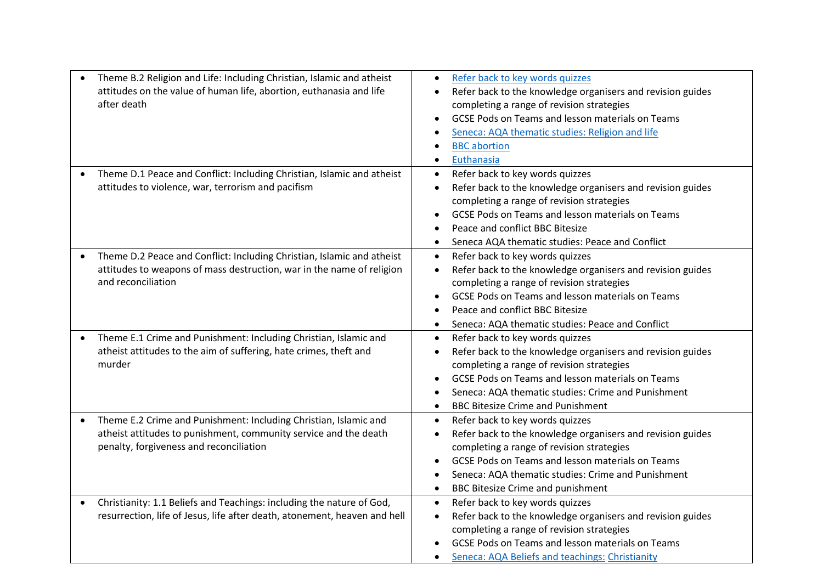| Theme B.2 Religion and Life: Including Christian, Islamic and atheist<br>attitudes on the value of human life, abortion, euthanasia and life<br>after death                                  | Refer back to key words quizzes<br>Refer back to the knowledge organisers and revision guides<br>completing a range of revision strategies<br>GCSE Pods on Teams and lesson materials on Teams<br>Seneca: AQA thematic studies: Religion and life<br><b>BBC</b> abortion<br>Euthanasia                                     |
|----------------------------------------------------------------------------------------------------------------------------------------------------------------------------------------------|----------------------------------------------------------------------------------------------------------------------------------------------------------------------------------------------------------------------------------------------------------------------------------------------------------------------------|
| Theme D.1 Peace and Conflict: Including Christian, Islamic and atheist<br>$\bullet$<br>attitudes to violence, war, terrorism and pacifism                                                    | Refer back to key words quizzes<br>$\bullet$<br>Refer back to the knowledge organisers and revision guides<br>$\bullet$<br>completing a range of revision strategies<br>GCSE Pods on Teams and lesson materials on Teams<br>Peace and conflict BBC Bitesize<br>Seneca AQA thematic studies: Peace and Conflict             |
| Theme D.2 Peace and Conflict: Including Christian, Islamic and atheist<br>$\bullet$<br>attitudes to weapons of mass destruction, war in the name of religion<br>and reconciliation           | Refer back to key words quizzes<br>$\bullet$<br>Refer back to the knowledge organisers and revision guides<br>$\bullet$<br>completing a range of revision strategies<br>GCSE Pods on Teams and lesson materials on Teams<br>Peace and conflict BBC Bitesize<br>Seneca: AQA thematic studies: Peace and Conflict            |
| Theme E.1 Crime and Punishment: Including Christian, Islamic and<br>$\bullet$<br>atheist attitudes to the aim of suffering, hate crimes, theft and<br>murder                                 | Refer back to key words quizzes<br>$\bullet$<br>Refer back to the knowledge organisers and revision guides<br>completing a range of revision strategies<br>GCSE Pods on Teams and lesson materials on Teams<br>Seneca: AQA thematic studies: Crime and Punishment<br><b>BBC Bitesize Crime and Punishment</b>              |
| Theme E.2 Crime and Punishment: Including Christian, Islamic and<br>$\bullet$<br>atheist attitudes to punishment, community service and the death<br>penalty, forgiveness and reconciliation | Refer back to key words quizzes<br>$\bullet$<br>Refer back to the knowledge organisers and revision guides<br>completing a range of revision strategies<br>GCSE Pods on Teams and lesson materials on Teams<br>Seneca: AQA thematic studies: Crime and Punishment<br><b>BBC Bitesize Crime and punishment</b><br>$\bullet$ |
| Christianity: 1.1 Beliefs and Teachings: including the nature of God,<br>$\bullet$<br>resurrection, life of Jesus, life after death, atonement, heaven and hell                              | Refer back to key words quizzes<br>$\bullet$<br>Refer back to the knowledge organisers and revision guides<br>$\bullet$<br>completing a range of revision strategies<br>GCSE Pods on Teams and lesson materials on Teams<br>Seneca: AQA Beliefs and teachings: Christianity                                                |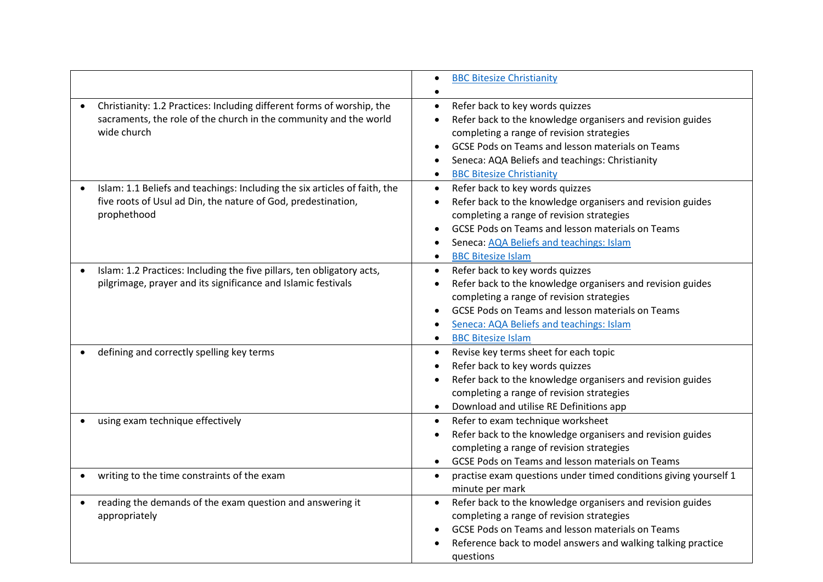|                                                                                                                                                            | <b>BBC Bitesize Christianity</b>                                                                                                                                                                                                                                                                                |
|------------------------------------------------------------------------------------------------------------------------------------------------------------|-----------------------------------------------------------------------------------------------------------------------------------------------------------------------------------------------------------------------------------------------------------------------------------------------------------------|
| Christianity: 1.2 Practices: Including different forms of worship, the<br>sacraments, the role of the church in the community and the world<br>wide church | Refer back to key words quizzes<br>$\bullet$<br>Refer back to the knowledge organisers and revision guides<br>completing a range of revision strategies<br>GCSE Pods on Teams and lesson materials on Teams<br>Seneca: AQA Beliefs and teachings: Christianity<br><b>BBC Bitesize Christianity</b><br>$\bullet$ |
| Islam: 1.1 Beliefs and teachings: Including the six articles of faith, the<br>five roots of Usul ad Din, the nature of God, predestination,<br>prophethood | Refer back to key words quizzes<br>$\bullet$<br>Refer back to the knowledge organisers and revision guides<br>completing a range of revision strategies<br>GCSE Pods on Teams and lesson materials on Teams<br>Seneca: AQA Beliefs and teachings: Islam<br><b>BBC Bitesize Islam</b><br>$\bullet$               |
| Islam: 1.2 Practices: Including the five pillars, ten obligatory acts,<br>pilgrimage, prayer and its significance and Islamic festivals                    | Refer back to key words quizzes<br>$\bullet$<br>Refer back to the knowledge organisers and revision guides<br>completing a range of revision strategies<br><b>GCSE Pods on Teams and lesson materials on Teams</b><br>Seneca: AQA Beliefs and teachings: Islam<br><b>BBC Bitesize Islam</b>                     |
| defining and correctly spelling key terms                                                                                                                  | Revise key terms sheet for each topic<br>$\bullet$<br>Refer back to key words quizzes<br>Refer back to the knowledge organisers and revision guides<br>completing a range of revision strategies<br>Download and utilise RE Definitions app<br>$\bullet$                                                        |
| using exam technique effectively                                                                                                                           | Refer to exam technique worksheet<br>$\bullet$<br>Refer back to the knowledge organisers and revision guides<br>completing a range of revision strategies<br>GCSE Pods on Teams and lesson materials on Teams<br>$\bullet$                                                                                      |
| writing to the time constraints of the exam                                                                                                                | practise exam questions under timed conditions giving yourself 1<br>$\bullet$<br>minute per mark                                                                                                                                                                                                                |
| reading the demands of the exam question and answering it<br>appropriately                                                                                 | Refer back to the knowledge organisers and revision guides<br>$\bullet$<br>completing a range of revision strategies<br>GCSE Pods on Teams and lesson materials on Teams<br>Reference back to model answers and walking talking practice<br>questions                                                           |